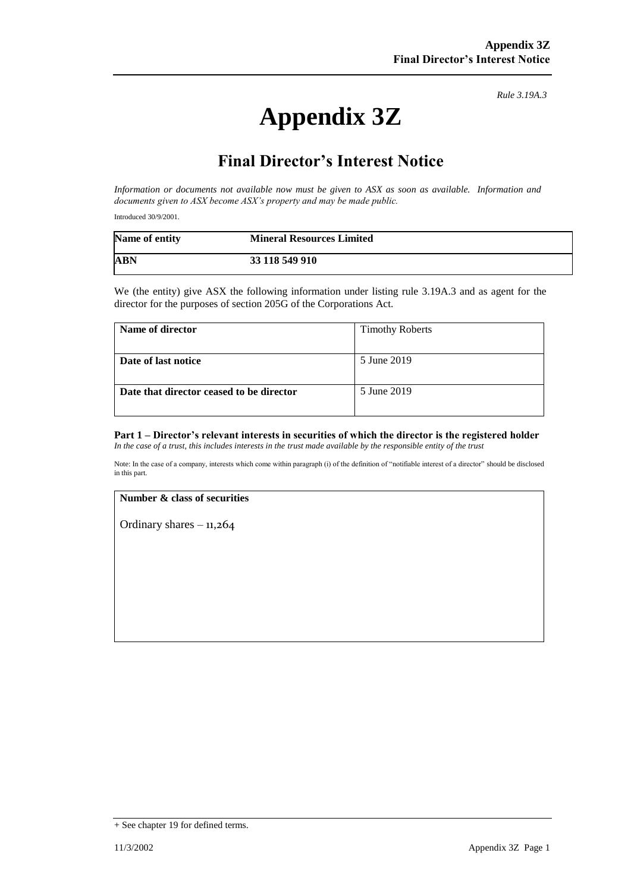# **Appendix 3Z**

*Rule 3.19A.3*

## **Final Director's Interest Notice**

*Information or documents not available now must be given to ASX as soon as available. Information and documents given to ASX become ASX's property and may be made public.*

Introduced 30/9/2001.

| Name of entity | <b>Mineral Resources Limited</b> |
|----------------|----------------------------------|
| <b>ABN</b>     | 33 118 549 910                   |

We (the entity) give ASX the following information under listing rule 3.19A.3 and as agent for the director for the purposes of section 205G of the Corporations Act.

| Name of director                         | <b>Timothy Roberts</b> |
|------------------------------------------|------------------------|
|                                          |                        |
| Date of last notice                      | 5 June 2019            |
|                                          |                        |
| Date that director ceased to be director | 5 June 2019            |
|                                          |                        |

#### **Part 1 – Director's relevant interests in securities of which the director is the registered holder** *In the case of a trust, this includes interests in the trust made available by the responsible entity of the trust*

Note: In the case of a company, interests which come within paragraph (i) of the definition of "notifiable interest of a director" should be disclosed in this part.

#### **Number & class of securities**

Ordinary shares  $-11,264$ 

<sup>+</sup> See chapter 19 for defined terms.